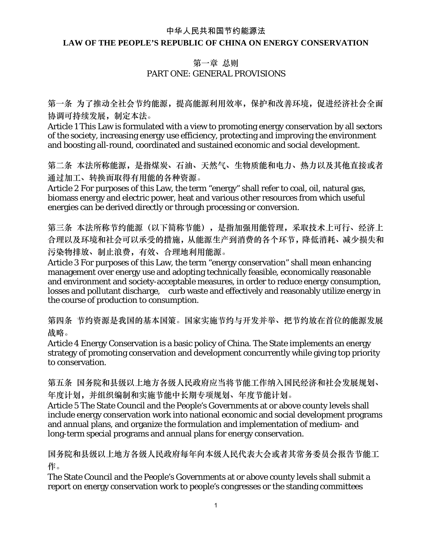#### 中华人民共和国节约能源法

#### **LAW OF THE PEOPLE'S REPUBLIC OF CHINA ON ENERGY CONSERVATION**

#### 第一章 总则 PART ONE: GENERAL PROVISIONS

第一条 为了推动全社会节约能源,提高能源利用效率,保护和改善环境,促进经济社会全面 协调可持续发展,制定本法。

Article 1 This Law is formulated with a view to promoting energy conservation by all sectors of the society, increasing energy use efficiency, protecting and improving the environment and boosting all-round, coordinated and sustained economic and social development.

第二条 本法所称能源,是指煤炭、石油、天然气、生物质能和电力、热力以及其他直接或者 通过加工、转换而取得有用能的各种资源。

Article 2 For purposes of this Law, the term "energy" shall refer to coal, oil, natural gas, biomass energy and electric power, heat and various other resources from which useful energies can be derived directly or through processing or conversion.

第三条 本法所称节约能源(以下简称节能),是指加强用能管理,采取技术上可行、经济上 合理以及环境和社会可以承受的措施,从能源生产到消费的各个环节,降低消耗、减少损失和 污染物排放、制止浪费,有效、合理地利用能源。

Article 3 For purposes of this Law, the term "energy conservation" shall mean enhancing management over energy use and adopting technically feasible, economically reasonable and environment and society-acceptable measures, in order to reduce energy consumption, losses and pollutant discharge, curb waste and effectively and reasonably utilize energy in the course of production to consumption.

第四条 节约资源是我国的基本国策。国家实施节约与开发并举、把节约放在首位的能源发展 战略。

Article 4 Energy Conservation is a basic policy of China. The State implements an energy strategy of promoting conservation and development concurrently while giving top priority to conservation.

第五条 国务院和县级以上地方各级人民政府应当将节能工作纳入国民经济和社会发展规划、 年度计划,并组织编制和实施节能中长期专项规划、年度节能计划。

Article 5 The State Council and the People's Governments at or above county levels shall include energy conservation work into national economic and social development programs and annual plans, and organize the formulation and implementation of medium- and long-term special programs and annual plans for energy conservation.

国务院和县级以上地方各级人民政府每年向本级人民代表大会或者其常务委员会报告节能工 作。

The State Council and the People's Governments at or above county levels shall submit a report on energy conservation work to people's congresses or the standing committees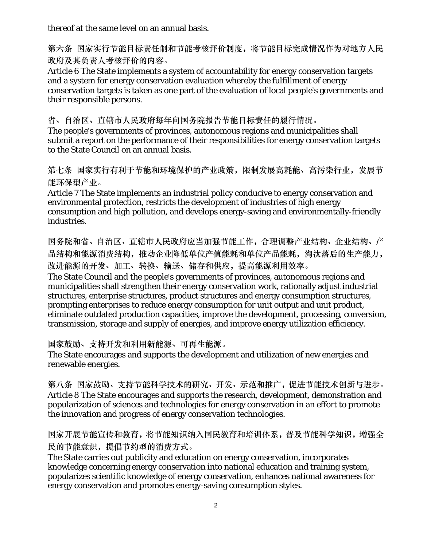thereof at the same level on an annual basis.

第六条 国家实行节能目标责任制和节能考核评价制度,将节能目标完成情况作为对地方人民 政府及其负责人考核评价的内容。

Article 6 The State implements a system of accountability for energy conservation targets and a system for energy conservation evaluation whereby the fulfillment of energy conservation targets is taken as one part of the evaluation of local people's governments and their responsible persons.

省、自治区、直辖市人民政府每年向国务院报告节能目标责任的履行情况。

The people's governments of provinces, autonomous regions and municipalities shall submit a report on the performance of their responsibilities for energy conservation targets to the State Council on an annual basis.

第七条 国家实行有利于节能和环境保护的产业政策,限制发展高耗能、高污染行业,发展节 能环保型产业。

Article 7 The State implements an industrial policy conducive to energy conservation and environmental protection, restricts the development of industries of high energy consumption and high pollution, and develops energy-saving and environmentally-friendly industries.

国务院和省、自治区、直辖市人民政府应当加强节能工作,合理调整产业结构、企业结构、产 品结构和能源消费结构,推动企业降低单位产值能耗和单位产品能耗,淘汰落后的生产能力, 改进能源的开发、加工、转换、输送、储存和供应,提高能源利用效率。

The State Council and the people's governments of provinces, autonomous regions and municipalities shall strengthen their energy conservation work, rationally adjust industrial structures, enterprise structures, product structures and energy consumption structures, prompting enterprises to reduce energy consumption for unit output and unit product, eliminate outdated production capacities, improve the development, processing, conversion, transmission, storage and supply of energies, and improve energy utilization efficiency.

国家鼓励、支持开发和利用新能源、可再生能源。

The State encourages and supports the development and utilization of new energies and renewable energies.

第八条 国家鼓励、支持节能科学技术的研究、开发、示范和推广,促进节能技术创新与进步。 Article 8 The State encourages and supports the research, development, demonstration and popularization of sciences and technologies for energy conservation in an effort to promote the innovation and progress of energy conservation technologies.

国家开展节能宣传和教育,将节能知识纳入国民教育和培训体系,普及节能科学知识,增强全 民的节能意识,提倡节约型的消费方式。

The State carries out publicity and education on energy conservation, incorporates knowledge concerning energy conservation into national education and training system, popularizes scientific knowledge of energy conservation, enhances national awareness for energy conservation and promotes energy-saving consumption styles.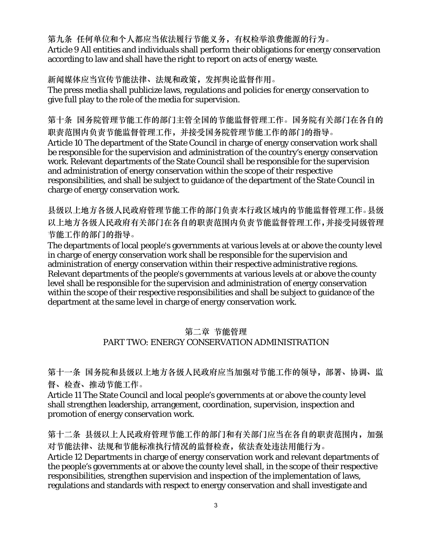第九条 任何单位和个人都应当依法履行节能义务,有权检举浪费能源的行为。 Article 9 All entities and individuals shall perform their obligations for energy conservation according to law and shall have the right to report on acts of energy waste.

新闻媒体应当宣传节能法律、法规和政策,发挥舆论监督作用。 The press media shall publicize laws, regulations and policies for energy conservation to give full play to the role of the media for supervision.

第十条 国务院管理节能工作的部门主管全国的节能监督管理工作。国务院有关部门在各自的 职责范围内负责节能监督管理工作,并接受国务院管理节能工作的部门的指导。 Article 10 The department of the State Council in charge of energy conservation work shall be responsible for the supervision and administration of the country's energy conservation work. Relevant departments of the State Council shall be responsible for the supervision and administration of energy conservation within the scope of their respective responsibilities, and shall be subject to guidance of the department of the State Council in charge of energy conservation work.

县级以上地方各级人民政府管理节能工作的部门负责本行政区域内的节能监督管理工作。县级 以上地方各级人民政府有关部门在各自的职责范围内负责节能监督管理工作,并接受同级管理 节能工作的部门的指导。

The departments of local people's governments at various levels at or above the county level in charge of energy conservation work shall be responsible for the supervision and administration of energy conservation within their respective administrative regions. Relevant departments of the people's governments at various levels at or above the county level shall be responsible for the supervision and administration of energy conservation within the scope of their respective responsibilities and shall be subject to guidance of the department at the same level in charge of energy conservation work.

### 第二章 节能管理 PART TWO: ENERGY CONSERVATION ADMINISTRATION

第十一条 国务院和县级以上地方各级人民政府应当加强对节能工作的领导,部署、协调、监 督、检查、推动节能工作。

Article 11 The State Council and local people's governments at or above the county level shall strengthen leadership, arrangement, coordination, supervision, inspection and promotion of energy conservation work.

第十二条 县级以上人民政府管理节能工作的部门和有关部门应当在各自的职责范围内,加强 对节能法律、法规和节能标准执行情况的监督检查,依法查处违法用能行为。 Article 12 Departments in charge of energy conservation work and relevant departments of the people's governments at or above the county level shall, in the scope of their respective responsibilities, strengthen supervision and inspection of the implementation of laws, regulations and standards with respect to energy conservation and shall investigate and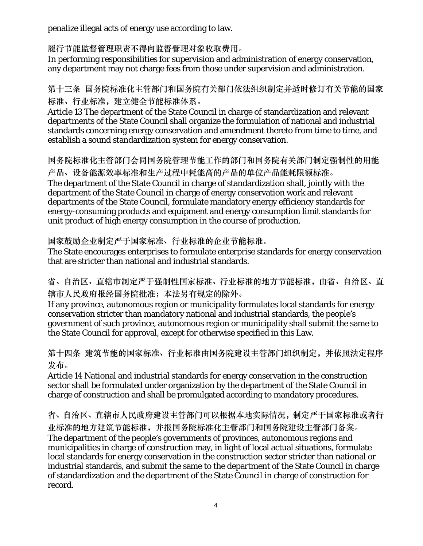penalize illegal acts of energy use according to law.

履行节能监督管理职责不得向监督管理对象收取费用。

In performing responsibilities for supervision and administration of energy conservation, any department may not charge fees from those under supervision and administration.

第十三条 国务院标准化主管部门和国务院有关部门依法组织制定并适时修订有关节能的国家 标准、行业标准,建立健全节能标准体系。

Article 13 The department of the State Council in charge of standardization and relevant departments of the State Council shall organize the formulation of national and industrial standards concerning energy conservation and amendment thereto from time to time, and establish a sound standardization system for energy conservation.

国务院标准化主管部门会同国务院管理节能工作的部门和国务院有关部门制定强制性的用能 产品、设备能源效率标准和生产过程中耗能高的产品的单位产品能耗限额标准。 The department of the State Council in charge of standardization shall, jointly with the department of the State Council in charge of energy conservation work and relevant departments of the State Council, formulate mandatory energy efficiency standards for energy-consuming products and equipment and energy consumption limit standards for unit product of high energy consumption in the course of production.

国家鼓励企业制定严于国家标准、行业标准的企业节能标准。

The State encourages enterprises to formulate enterprise standards for energy conservation that are stricter than national and industrial standards.

省、自治区、直辖市制定严于强制性国家标准、行业标准的地方节能标准,由省、自治区、直 辖市人民政府报经国务院批准;本法另有规定的除外。

If any province, autonomous region or municipality formulates local standards for energy conservation stricter than mandatory national and industrial standards, the people's government of such province, autonomous region or municipality shall submit the same to the State Council for approval, except for otherwise specified in this Law.

第十四条 建筑节能的国家标准、行业标准由国务院建设主管部门组织制定,并依照法定程序 发布。

Article 14 National and industrial standards for energy conservation in the construction sector shall be formulated under organization by the department of the State Council in charge of construction and shall be promulgated according to mandatory procedures.

省、自治区、直辖市人民政府建设主管部门可以根据本地实际情况,制定严于国家标准或者行 业标准的地方建筑节能标准,并报国务院标准化主管部门和国务院建设主管部门备案。 The department of the people's governments of provinces, autonomous regions and municipalities in charge of construction may, in light of local actual situations, formulate local standards for energy conservation in the construction sector stricter than national or industrial standards, and submit the same to the department of the State Council in charge of standardization and the department of the State Council in charge of construction for record.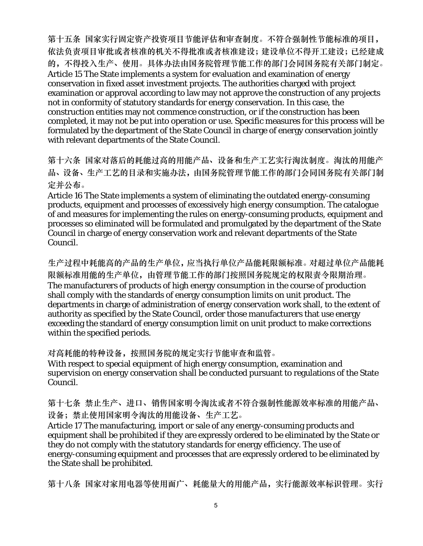第十五条 国家实行固定资产投资项目节能评估和审查制度。不符合强制性节能标准的项目, 依法负责项目审批或者核准的机关不得批准或者核准建设;建设单位不得开工建设;已经建成 的,不得投入生产、使用。具体办法由国务院管理节能工作的部门会同国务院有关部门制定。 Article 15 The State implements a system for evaluation and examination of energy conservation in fixed asset investment projects. The authorities charged with project examination or approval according to law may not approve the construction of any projects not in conformity of statutory standards for energy conservation. In this case, the construction entities may not commence construction, or if the construction has been completed, it may not be put into operation or use. Specific measures for this process will be formulated by the department of the State Council in charge of energy conservation jointly with relevant departments of the State Council.

第十六条 国家对落后的耗能过高的用能产品、设备和生产工艺实行淘汰制度。淘汰的用能产 品、设备、生产工艺的目录和实施办法,由国务院管理节能工作的部门会同国务院有关部门制 定并公布。

Article 16 The State implements a system of eliminating the outdated energy-consuming products, equipment and processes of excessively high energy consumption. The catalogue of and measures for implementing the rules on energy-consuming products, equipment and processes so eliminated will be formulated and promulgated by the department of the State Council in charge of energy conservation work and relevant departments of the State Council.

生产过程中耗能高的产品的生产单位,应当执行单位产品能耗限额标准。对超过单位产品能耗 限额标准用能的生产单位,由管理节能工作的部门按照国务院规定的权限责令限期治理。 The manufacturers of products of high energy consumption in the course of production shall comply with the standards of energy consumption limits on unit product. The departments in charge of administration of energy conservation work shall, to the extent of authority as specified by the State Council, order those manufacturers that use energy exceeding the standard of energy consumption limit on unit product to make corrections within the specified periods.

对高耗能的特种设备,按照国务院的规定实行节能审查和监管。

With respect to special equipment of high energy consumption, examination and supervision on energy conservation shall be conducted pursuant to regulations of the State Council.

第十七条 禁止生产、进口、销售国家明令淘汰或者不符合强制性能源效率标准的用能产品、 设备;禁止使用国家明令淘汰的用能设备、生产工艺。

Article 17 The manufacturing, import or sale of any energy-consuming products and equipment shall be prohibited if they are expressly ordered to be eliminated by the State or they do not comply with the statutory standards for energy efficiency. The use of energy-consuming equipment and processes that are expressly ordered to be eliminated by the State shall be prohibited.

第十八条 国家对家用电器等使用面广、耗能量大的用能产品,实行能源效率标识管理。实行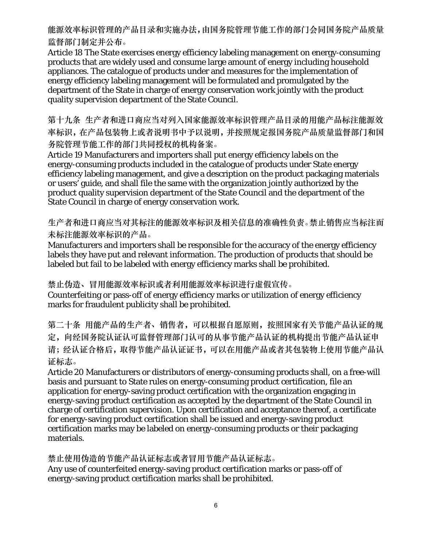能源效率标识管理的产品目录和实施办法,由国务院管理节能工作的部门会同国务院产品质量 监督部门制定并公布。

Article 18 The State exercises energy efficiency labeling management on energy-consuming products that are widely used and consume large amount of energy including household appliances. The catalogue of products under and measures for the implementation of energy efficiency labeling management will be formulated and promulgated by the department of the State in charge of energy conservation work jointly with the product quality supervision department of the State Council.

第十九条 生产者和进口商应当对列入国家能源效率标识管理产品目录的用能产品标注能源效 率标识,在产品包装物上或者说明书中予以说明,并按照规定报国务院产品质量监督部门和国 务院管理节能工作的部门共同授权的机构备案。

Article 19 Manufacturers and importers shall put energy efficiency labels on the energy-consuming products included in the catalogue of products under State energy efficiency labeling management, and give a description on the product packaging materials or users' guide, and shall file the same with the organization jointly authorized by the product quality supervision department of the State Council and the department of the State Council in charge of energy conservation work.

生产者和进口商应当对其标注的能源效率标识及相关信息的准确性负责。禁止销售应当标注而 未标注能源效率标识的产品。

Manufacturers and importers shall be responsible for the accuracy of the energy efficiency labels they have put and relevant information. The production of products that should be labeled but fail to be labeled with energy efficiency marks shall be prohibited.

禁止伪造、冒用能源效率标识或者利用能源效率标识进行虚假宣传。

Counterfeiting or pass-off of energy efficiency marks or utilization of energy efficiency marks for fraudulent publicity shall be prohibited.

第二十条 用能产品的生产者、销售者,可以根据自愿原则,按照国家有关节能产品认证的规 定,向经国务院认证认可监督管理部门认可的从事节能产品认证的机构提出节能产品认证申 请;经认证合格后,取得节能产品认证证书,可以在用能产品或者其包装物上使用节能产品认 证标志。

Article 20 Manufacturers or distributors of energy-consuming products shall, on a free-will basis and pursuant to State rules on energy-consuming product certification, file an application for energy-saving product certification with the organization engaging in energy-saving product certification as accepted by the department of the State Council in charge of certification supervision. Upon certification and acceptance thereof, a certificate for energy-saving product certification shall be issued and energy-saving product certification marks may be labeled on energy-consuming products or their packaging materials.

禁止使用伪造的节能产品认证标志或者冒用节能产品认证标志。

Any use of counterfeited energy-saving product certification marks or pass-off of energy-saving product certification marks shall be prohibited.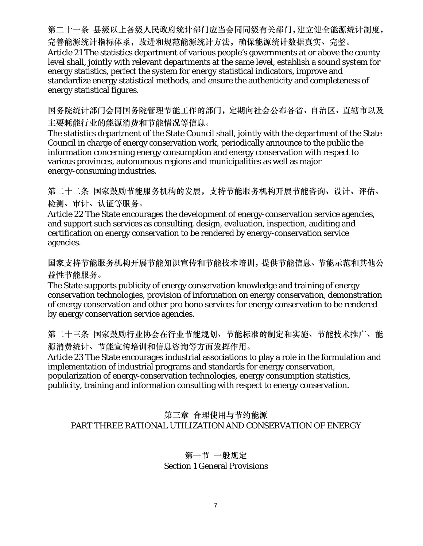第二十一条 县级以上各级人民政府统计部门应当会同同级有关部门,建立健全能源统计制度, 完善能源统计指标体系,改进和规范能源统计方法,确保能源统计数据真实、完整。 Article 21 The statistics department of various people's governments at or above the county level shall, jointly with relevant departments at the same level, establish a sound system for energy statistics, perfect the system for energy statistical indicators, improve and standardize energy statistical methods, and ensure the authenticity and completeness of energy statistical figures.

国务院统计部门会同国务院管理节能工作的部门,定期向社会公布各省、自治区、直辖市以及 主要耗能行业的能源消费和节能情况等信息。

The statistics department of the State Council shall, jointly with the department of the State Council in charge of energy conservation work, periodically announce to the public the information concerning energy consumption and energy conservation with respect to various provinces, autonomous regions and municipalities as well as major energy-consuming industries.

第二十二条 国家鼓励节能服务机构的发展,支持节能服务机构开展节能咨询、设计、评估、 检测、审计、认证等服务。

Article 22 The State encourages the development of energy-conservation service agencies, and support such services as consulting, design, evaluation, inspection, auditing and certification on energy conservation to be rendered by energy-conservation service agencies.

国家支持节能服务机构开展节能知识宣传和节能技术培训,提供节能信息、节能示范和其他公 益性节能服务。

The State supports publicity of energy conservation knowledge and training of energy conservation technologies, provision of information on energy conservation, demonstration of energy conservation and other pro bono services for energy conservation to be rendered by energy conservation service agencies.

第二十三条 国家鼓励行业协会在行业节能规划、节能标准的制定和实施、节能技术推广、能 源消费统计、节能宣传培训和信息咨询等方面发挥作用。

Article 23 The State encourages industrial associations to play a role in the formulation and implementation of industrial programs and standards for energy conservation, popularization of energy-conservation technologies, energy consumption statistics,

publicity, training and information consulting with respect to energy conservation.

### 第三章 合理使用与节约能源 PART THREE RATIONAL UTILIZATION AND CONSERVATION OF ENERGY

# 第一节 一般规定

### Section 1 General Provisions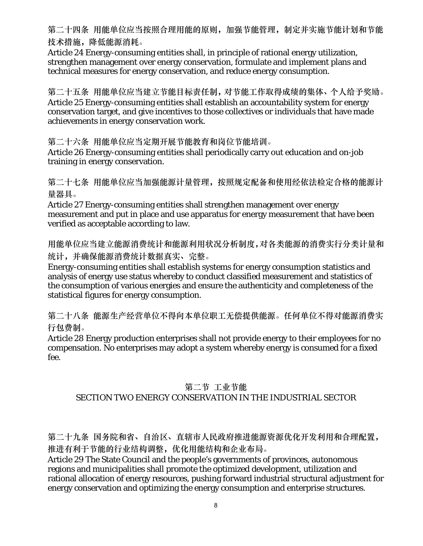第二十四条 用能单位应当按照合理用能的原则,加强节能管理,制定并实施节能计划和节能 技术措施,降低能源消耗。

Article 24 Energy-consuming entities shall, in principle of rational energy utilization, strengthen management over energy conservation, formulate and implement plans and technical measures for energy conservation, and reduce energy consumption.

第二十五条 用能单位应当建立节能目标责任制,对节能工作取得成绩的集体、个人给予奖励。 Article 25 Energy-consuming entities shall establish an accountability system for energy conservation target, and give incentives to those collectives or individuals that have made achievements in energy conservation work.

第二十六条 用能单位应当定期开展节能教育和岗位节能培训。

Article 26 Energy-consuming entities shall periodically carry out education and on-job training in energy conservation.

第二十七条 用能单位应当加强能源计量管理,按照规定配备和使用经依法检定合格的能源计 量器具。

Article 27 Energy-consuming entities shall strengthen management over energy measurement and put in place and use apparatus for energy measurement that have been verified as acceptable according to law.

用能单位应当建立能源消费统计和能源利用状况分析制度,对各类能源的消费实行分类计量和 统计,并确保能源消费统计数据真实、完整。

Energy-consuming entities shall establish systems for energy consumption statistics and analysis of energy use status whereby to conduct classified measurement and statistics of the consumption of various energies and ensure the authenticity and completeness of the statistical figures for energy consumption.

第二十八条 能源生产经营单位不得向本单位职工无偿提供能源。任何单位不得对能源消费实 行包费制。

Article 28 Energy production enterprises shall not provide energy to their employees for no compensation. No enterprises may adopt a system whereby energy is consumed for a fixed fee.

### 第二节 工业节能

# SECTION TWO ENERGY CONSERVATION IN THE INDUSTRIAL SECTOR

第二十九条 国务院和省、自治区、直辖市人民政府推进能源资源优化开发利用和合理配置, 推进有利于节能的行业结构调整,优化用能结构和企业布局。

Article 29 The State Council and the people's governments of provinces, autonomous regions and municipalities shall promote the optimized development, utilization and rational allocation of energy resources, pushing forward industrial structural adjustment for energy conservation and optimizing the energy consumption and enterprise structures.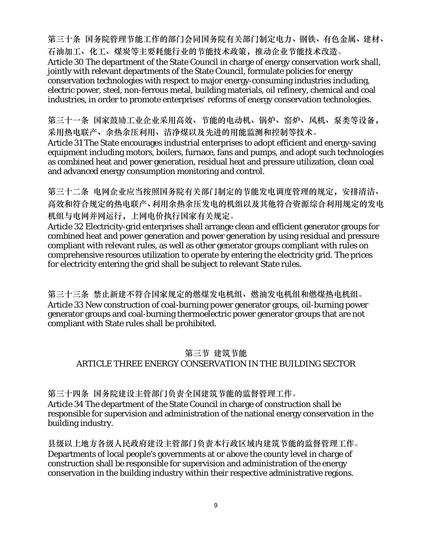第三十条 国务院管理节能工作的部门会同国务院有关部门制定电力、钢铁、有色金属、建材、 石油加工、化工、煤炭等主要耗能行业的节能技术政策,推动企业节能技术改造。 Article 30 The department of the State Council in charge of energy conservation work shall, jointly with relevant departments of the State Council, formulate policies for energy conservation technologies with respect to major energy-consuming industries including, electric power, steel, non-ferrous metal, building materials, oil refinery, chemical and coal industries, in order to promote enterprises' reforms of energy conservation technologies.

第三十一条 国家鼓励工业企业采用高效、节能的电动机、锅炉、窑炉、风机、泵类等设备, 采用热电联产、余热余压利用、洁净煤以及先进的用能监测和控制等技术。 Article 31 The State encourages industrial enterprises to adopt efficient and energy-saving equipment including motors, boilers, furnace, fans and pumps, and adopt such technologies as combined heat and power generation, residual heat and pressure utilization, clean coal and advanced energy consumption monitoring and control.

第三十二条 电网企业应当按照国务院有关部门制定的节能发电调度管理的规定,安排清洁、 高效和符合规定的热电联产、利用余热余压发电的机组以及其他符合资源综合利用规定的发电 机组与电网并网运行,上网电价执行国家有关规定。

Article 32 Electricity-grid enterprises shall arrange clean and efficient generator groups for combined heat and power generation and power generation by using residual and pressure compliant with relevant rules, as well as other generator groups compliant with rules on comprehensive resources utilization to operate by entering the electricity grid. The prices for electricity entering the grid shall be subject to relevant State rules.

第三十三条 禁止新建不符合国家规定的燃煤发电机组、燃油发电机组和燃煤热电机组。 Article 33 New construction of coal-burning power generator groups, oil-burning power generator groups and coal-burning thermoelectric power generator groups that are not compliant with State rules shall be prohibited.

## 第三节 建筑节能 ARTICLE THREE ENERGY CONSERVATION IN THE BUILDING SECTOR

第三十四条 国务院建设主管部门负责全国建筑节能的监督管理工作。 Article 34 The department of the State Council in charge of construction shall be

responsible for supervision and administration of the national energy conservation in the building industry.

县级以上地方各级人民政府建设主管部门负责本行政区域内建筑节能的监督管理工作。 Departments of local people's governments at or above the county level in charge of construction shall be responsible for supervision and administration of the energy conservation in the building industry within their respective administrative regions.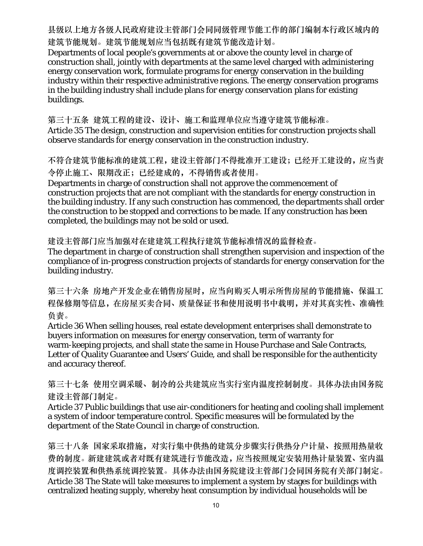县级以上地方各级人民政府建设主管部门会同同级管理节能工作的部门编制本行政区域内的 建筑节能规划。建筑节能规划应当包括既有建筑节能改造计划。

Departments of local people's governments at or above the county level in charge of construction shall, jointly with departments at the same level charged with administering energy conservation work, formulate programs for energy conservation in the building industry within their respective administrative regions. The energy conservation programs in the building industry shall include plans for energy conservation plans for existing buildings.

第三十五条 建筑工程的建设、设计、施工和监理单位应当遵守建筑节能标准。 Article 35 The design, construction and supervision entities for construction projects shall observe standards for energy conservation in the construction industry.

不符合建筑节能标准的建筑工程,建设主管部门不得批准开工建设;已经开工建设的,应当责 令停止施工、限期改正;已经建成的,不得销售或者使用。

Departments in charge of construction shall not approve the commencement of construction projects that are not compliant with the standards for energy construction in the building industry. If any such construction has commenced, the departments shall order the construction to be stopped and corrections to be made. If any construction has been completed, the buildings may not be sold or used.

建设主管部门应当加强对在建建筑工程执行建筑节能标准情况的监督检查。

The department in charge of construction shall strengthen supervision and inspection of the compliance of in-progress construction projects of standards for energy conservation for the building industry.

第三十六条 房地产开发企业在销售房屋时,应当向购买人明示所售房屋的节能措施、保温工 程保修期等信息,在房屋买卖合同、质量保证书和使用说明书中载明,并对其真实性、准确性 负责。

Article 36 When selling houses, real estate development enterprises shall demonstrate to buyers information on measures for energy conservation, term of warranty for warm-keeping projects, and shall state the same in House Purchase and Sale Contracts, Letter of Quality Guarantee and Users' Guide, and shall be responsible for the authenticity and accuracy thereof.

第三十七条 使用空调采暖、制冷的公共建筑应当实行室内温度控制制度。具体办法由国务院 建设主管部门制定。

Article 37 Public buildings that use air-conditioners for heating and cooling shall implement a system of indoor temperature control. Specific measures will be formulated by the department of the State Council in charge of construction.

第三十八条 国家采取措施,对实行集中供热的建筑分步骤实行供热分户计量、按照用热量收 费的制度。新建建筑或者对既有建筑进行节能改造,应当按照规定安装用热计量装置、室内温 度调控装置和供热系统调控装置。具体办法由国务院建设主管部门会同国务院有关部门制定。 Article 38 The State will take measures to implement a system by stages for buildings with centralized heating supply, whereby heat consumption by individual households will be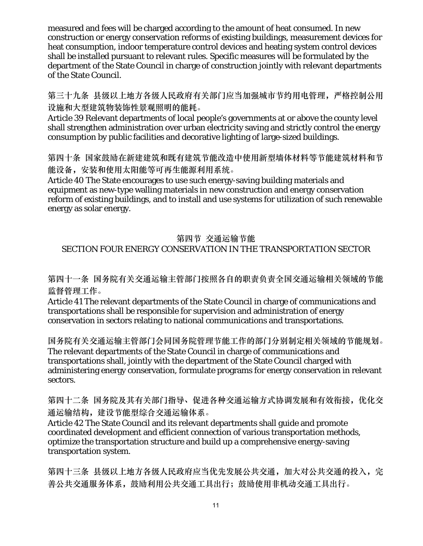measured and fees will be charged according to the amount of heat consumed. In new construction or energy conservation reforms of existing buildings, measurement devices for heat consumption, indoor temperature control devices and heating system control devices shall be installed pursuant to relevant rules. Specific measures will be formulated by the department of the State Council in charge of construction jointly with relevant departments of the State Council.

第三十九条 县级以上地方各级人民政府有关部门应当加强城市节约用电管理,严格控制公用 设施和大型建筑物装饰性景观照明的能耗。

Article 39 Relevant departments of local people's governments at or above the county level shall strengthen administration over urban electricity saving and strictly control the energy consumption by public facilities and decorative lighting of large-sized buildings.

第四十条 国家鼓励在新建建筑和既有建筑节能改造中使用新型墙体材料等节能建筑材料和节 能设备,安装和使用太阳能等可再生能源利用系统。

Article 40 The State encourages to use such energy-saving building materials and equipment as new-type walling materials in new construction and energy conservation reform of existing buildings, and to install and use systems for utilization of such renewable energy as solar energy.

### 第四节 交通运输节能 SECTION FOUR ENERGY CONSERVATION IN THE TRANSPORTATION SECTOR

第四十一条 国务院有关交通运输主管部门按照各自的职责负责全国交通运输相关领域的节能 监督管理工作。

Article 41 The relevant departments of the State Council in charge of communications and transportations shall be responsible for supervision and administration of energy conservation in sectors relating to national communications and transportations.

国务院有关交通运输主管部门会同国务院管理节能工作的部门分别制定相关领域的节能规划。 The relevant departments of the State Council in charge of communications and transportations shall, jointly with the department of the State Council charged with administering energy conservation, formulate programs for energy conservation in relevant sectors.

第四十二条 国务院及其有关部门指导、促进各种交通运输方式协调发展和有效衔接,优化交 通运输结构,建设节能型综合交通运输体系。

Article 42 The State Council and its relevant departments shall guide and promote coordinated development and efficient connection of various transportation methods, optimize the transportation structure and build up a comprehensive energy-saving transportation system.

第四十三条 县级以上地方各级人民政府应当优先发展公共交通,加大对公共交通的投入,完 善公共交通服务体系,鼓励利用公共交通工具出行;鼓励使用非机动交通工具出行。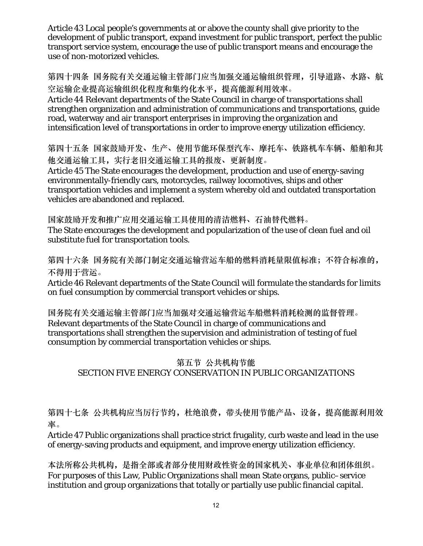Article 43 Local people's governments at or above the county shall give priority to the development of public transport, expand investment for public transport, perfect the public transport service system, encourage the use of public transport means and encourage the use of non-motorized vehicles.

第四十四条 国务院有关交通运输主管部门应当加强交通运输组织管理,引导道路、水路、航 空运输企业提高运输组织化程度和集约化水平,提高能源利用效率。

Article 44 Relevant departments of the State Council in charge of transportations shall strengthen organization and administration of communications and transportations, guide road, waterway and air transport enterprises in improving the organization and intensification level of transportations in order to improve energy utilization efficiency.

第四十五条 国家鼓励开发、生产、使用节能环保型汽车、摩托车、铁路机车车辆、船舶和其 他交通运输工具,实行老旧交通运输工具的报废、更新制度。

Article 45 The State encourages the development, production and use of energy-saving environmentally-friendly cars, motorcycles, railway locomotives, ships and other transportation vehicles and implement a system whereby old and outdated transportation vehicles are abandoned and replaced.

国家鼓励开发和推广应用交通运输工具使用的清洁燃料、石油替代燃料。 The State encourages the development and popularization of the use of clean fuel and oil substitute fuel for transportation tools.

第四十六条 国务院有关部门制定交通运输营运车船的燃料消耗量限值标准;不符合标准的, 不得用于营运。

Article 46 Relevant departments of the State Council will formulate the standards for limits on fuel consumption by commercial transport vehicles or ships.

国务院有关交通运输主管部门应当加强对交通运输营运车船燃料消耗检测的监督管理。 Relevant departments of the State Council in charge of communications and transportations shall strengthen the supervision and administration of testing of fuel consumption by commercial transportation vehicles or ships.

# 第五节 公共机构节能 SECTION FIVE ENERGY CONSERVATION IN PUBLIC ORGANIZATIONS

第四十七条 公共机构应当厉行节约,杜绝浪费,带头使用节能产品、设备,提高能源利用效 率。

Article 47 Public organizations shall practice strict frugality, curb waste and lead in the use of energy-saving products and equipment, and improve energy utilization efficiency.

本法所称公共机构,是指全部或者部分使用财政性资金的国家机关、事业单位和团体组织。 For purposes of this Law, Public Organizations shall mean State organs, public–service institution and group organizations that totally or partially use public financial capital.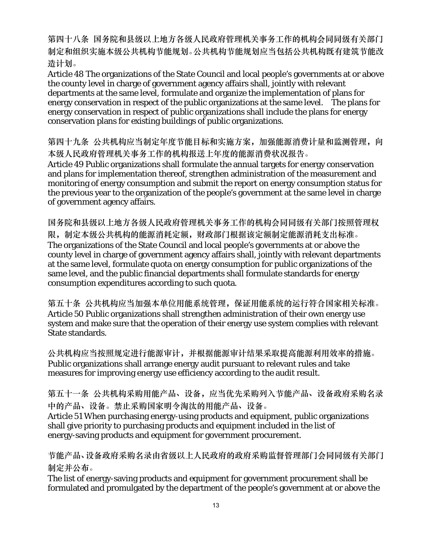第四十八条 国务院和县级以上地方各级人民政府管理机关事务工作的机构会同同级有关部门 制定和组织实施本级公共机构节能规划。公共机构节能规划应当包括公共机构既有建筑节能改 造计划。

Article 48 The organizations of the State Council and local people's governments at or above the county level in charge of government agency affairs shall, jointly with relevant departments at the same level, formulate and organize the implementation of plans for energy conservation in respect of the public organizations at the same level. The plans for energy conservation in respect of public organizations shall include the plans for energy conservation plans for existing buildings of public organizations.

第四十九条 公共机构应当制定年度节能目标和实施方案,加强能源消费计量和监测管理,向 本级人民政府管理机关事务工作的机构报送上年度的能源消费状况报告。

Article 49 Public organizations shall formulate the annual targets for energy conservation and plans for implementation thereof, strengthen administration of the measurement and monitoring of energy consumption and submit the report on energy consumption status for the previous year to the organization of the people's government at the same level in charge of government agency affairs.

国务院和县级以上地方各级人民政府管理机关事务工作的机构会同同级有关部门按照管理权 限,制定本级公共机构的能源消耗定额,财政部门根据该定额制定能源消耗支出标准。 The organizations of the State Council and local people's governments at or above the county level in charge of government agency affairs shall, jointly with relevant departments at the same level, formulate quota on energy consumption for public organizations of the same level, and the public financial departments shall formulate standards for energy consumption expenditures according to such quota.

第五十条 公共机构应当加强本单位用能系统管理,保证用能系统的运行符合国家相关标准。 Article 50 Public organizations shall strengthen administration of their own energy use system and make sure that the operation of their energy use system complies with relevant State standards.

公共机构应当按照规定进行能源审计,并根据能源审计结果采取提高能源利用效率的措施。 Public organizations shall arrange energy audit pursuant to relevant rules and take measures for improving energy use efficiency according to the audit result.

第五十一条 公共机构采购用能产品、设备,应当优先采购列入节能产品、设备政府采购名录 中的产品、设备。禁止采购国家明令淘汰的用能产品、设备。

Article 51 When purchasing energy-using products and equipment, public organizations shall give priority to purchasing products and equipment included in the list of energy-saving products and equipment for government procurement.

节能产品、设备政府采购名录由省级以上人民政府的政府采购监督管理部门会同同级有关部门 制定并公布。

The list of energy-saving products and equipment for government procurement shall be formulated and promulgated by the department of the people's government at or above the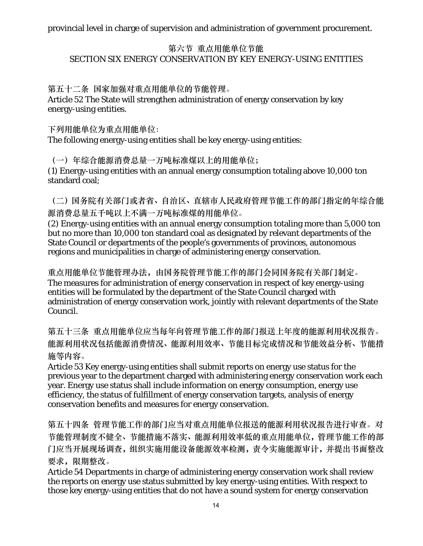#### 第六节 重点用能单位节能 SECTION SIX ENERGY CONSERVATION BY KEY ENERGY-USING ENTITIES

第五十二条 国家加强对重点用能单位的节能管理。

Article 52 The State will strengthen administration of energy conservation by key energy-using entities.

下列用能单位为重点用能单位:

The following energy-using entities shall be key energy-using entities:

(一)年综合能源消费总量一万吨标准煤以上的用能单位; (1) Energy-using entities with an annual energy consumption totaling above 10,000 ton standard coal;

(二)国务院有关部门或者省、自治区、直辖市人民政府管理节能工作的部门指定的年综合能 源消费总量五千吨以上不满一万吨标准煤的用能单位。

(2) Energy-using entities with an annual energy consumption totaling more than 5,000 ton but no more than 10,000 ton standard coal as designated by relevant departments of the State Council or departments of the people's governments of provinces, autonomous regions and municipalities in charge of administering energy conservation.

重点用能单位节能管理办法,由国务院管理节能工作的部门会同国务院有关部门制定。 The measures for administration of energy conservation in respect of key energy-using entities will be formulated by the department of the State Council charged with administration of energy conservation work, jointly with relevant departments of the State Council.

第五十三条 重点用能单位应当每年向管理节能工作的部门报送上年度的能源利用状况报告。 能源利用状况包括能源消费情况、能源利用效率、节能目标完成情况和节能效益分析、节能措 施等内容。

Article 53 Key energy-using entities shall submit reports on energy use status for the previous year to the department charged with administering energy conservation work each year. Energy use status shall include information on energy consumption, energy use efficiency, the status of fulfillment of energy conservation targets, analysis of energy conservation benefits and measures for energy conservation.

第五十四条 管理节能工作的部门应当对重点用能单位报送的能源利用状况报告进行审查。对 节能管理制度不健全、节能措施不落实、能源利用效率低的重点用能单位,管理节能工作的部 门应当开展现场调查,组织实施用能设备能源效率检测,责令实施能源审计,并提出书面整改 要求,限期整改。

Article 54 Departments in charge of administering energy conservation work shall review the reports on energy use status submitted by key energy-using entities. With respect to those key energy-using entities that do not have a sound system for energy conservation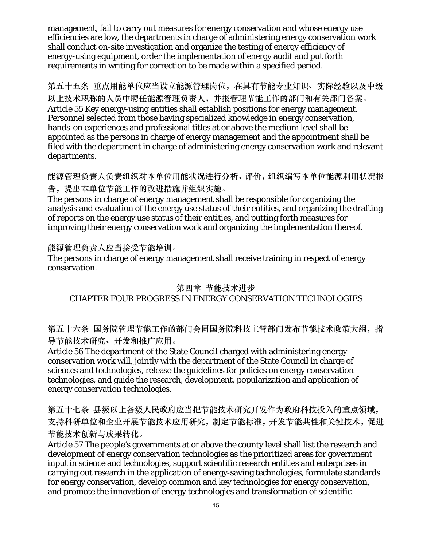management, fail to carry out measures for energy conservation and whose energy use efficiencies are low, the departments in charge of administering energy conservation work shall conduct on-site investigation and organize the testing of energy efficiency of energy-using equipment, order the implementation of energy audit and put forth requirements in writing for correction to be made within a specified period.

第五十五条 重点用能单位应当设立能源管理岗位,在具有节能专业知识、实际经验以及中级 以上技术职称的人员中聘任能源管理负责人,并报管理节能工作的部门和有关部门备案。 Article 55 Key energy-using entities shall establish positions for energy management. Personnel selected from those having specialized knowledge in energy conservation, hands-on experiences and professional titles at or above the medium level shall be appointed as the persons in charge of energy management and the appointment shall be filed with the department in charge of administering energy conservation work and relevant departments.

能源管理负责人负责组织对本单位用能状况进行分析、评价,组织编写本单位能源利用状况报 告,提出本单位节能工作的改进措施并组织实施。

The persons in charge of energy management shall be responsible for organizing the analysis and evaluation of the energy use status of their entities, and organizing the drafting of reports on the energy use status of their entities, and putting forth measures for improving their energy conservation work and organizing the implementation thereof.

#### 能源管理负责人应当接受节能培训。

The persons in charge of energy management shall receive training in respect of energy conservation.

#### 第四章 节能技术进步

#### CHAPTER FOUR PROGRESS IN ENERGY CONSERVATION TECHNOLOGIES

第五十六条 国务院管理节能工作的部门会同国务院科技主管部门发布节能技术政策大纲,指 导节能技术研究、开发和推广应用。

Article 56 The department of the State Council charged with administering energy conservation work will, jointly with the department of the State Council in charge of sciences and technologies, release the guidelines for policies on energy conservation technologies, and guide the research, development, popularization and application of energy conservation technologies.

第五十七条 县级以上各级人民政府应当把节能技术研究开发作为政府科技投入的重点领域, 支持科研单位和企业开展节能技术应用研究,制定节能标准,开发节能共性和关键技术,促进 节能技术创新与成果转化。

Article 57 The people's governments at or above the county level shall list the research and development of energy conservation technologies as the prioritized areas for government input in science and technologies, support scientific research entities and enterprises in carrying out research in the application of energy-saving technologies, formulate standards for energy conservation, develop common and key technologies for energy conservation, and promote the innovation of energy technologies and transformation of scientific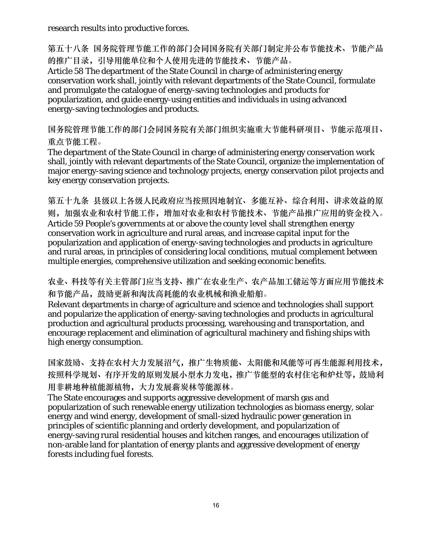research results into productive forces.

第五十八条 国务院管理节能工作的部门会同国务院有关部门制定并公布节能技术、节能产品 的推广目录,引导用能单位和个人使用先进的节能技术、节能产品。

Article 58 The department of the State Council in charge of administering energy conservation work shall, jointly with relevant departments of the State Council, formulate and promulgate the catalogue of energy-saving technologies and products for popularization, and guide energy-using entities and individuals in using advanced energy-saving technologies and products.

国务院管理节能工作的部门会同国务院有关部门组织实施重大节能科研项目、节能示范项目、 重点节能工程。

The department of the State Council in charge of administering energy conservation work shall, jointly with relevant departments of the State Council, organize the implementation of major energy-saving science and technology projects, energy conservation pilot projects and key energy conservation projects.

第五十九条 县级以上各级人民政府应当按照因地制宜、多能互补、综合利用、讲求效益的原 则,加强农业和农村节能工作,增加对农业和农村节能技术、节能产品推广应用的资金投入。 Article 59 People's governments at or above the county level shall strengthen energy conservation work in agriculture and rural areas, and increase capital input for the popularization and application of energy-saving technologies and products in agriculture and rural areas, in principles of considering local conditions, mutual complement between multiple energies, comprehensive utilization and seeking economic benefits.

农业、科技等有关主管部门应当支持、推广在农业生产、农产品加工储运等方面应用节能技术 和节能产品,鼓励更新和淘汰高耗能的农业机械和渔业船舶。

Relevant departments in charge of agriculture and science and technologies shall support and popularize the application of energy-saving technologies and products in agricultural production and agricultural products processing, warehousing and transportation, and encourage replacement and elimination of agricultural machinery and fishing ships with high energy consumption.

国家鼓励、支持在农村大力发展沼气,推广生物质能、太阳能和风能等可再生能源利用技术, 按照科学规划、有序开发的原则发展小型水力发电,推广节能型的农村住宅和炉灶等,鼓励利 用非耕地种植能源植物,大力发展薪炭林等能源林。

The State encourages and supports aggressive development of marsh gas and popularization of such renewable energy utilization technologies as biomass energy, solar energy and wind energy, development of small-sized hydraulic power generation in principles of scientific planning and orderly development, and popularization of energy-saving rural residential houses and kitchen ranges, and encourages utilization of non-arable land for plantation of energy plants and aggressive development of energy forests including fuel forests.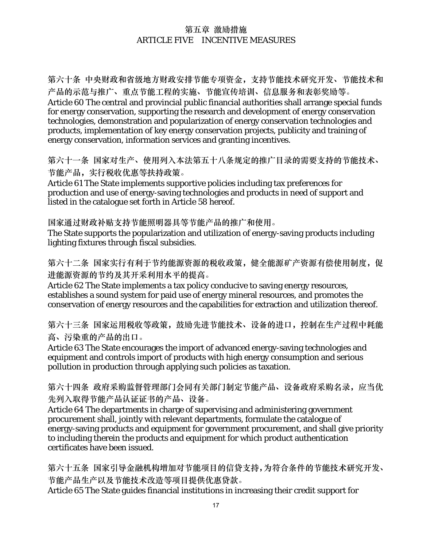#### 第五章 激励措施 ARTICLE FIVE INCENTIVE MEASURES

第六十条 中央财政和省级地方财政安排节能专项资金,支持节能技术研究开发、节能技术和 产品的示范与推广、重点节能工程的实施、节能宣传培训、信息服务和表彰奖励等。 Article 60 The central and provincial public financial authorities shall arrange special funds for energy conservation, supporting the research and development of energy conservation technologies, demonstration and popularization of energy conservation technologies and products, implementation of key energy conservation projects, publicity and training of energy conservation, information services and granting incentives.

第六十一条 国家对生产、使用列入本法第五十八条规定的推广目录的需要支持的节能技术、 节能产品,实行税收优惠等扶持政策。

Article 61 The State implements supportive policies including tax preferences for production and use of energy-saving technologies and products in need of support and listed in the catalogue set forth in Article 58 hereof.

国家通过财政补贴支持节能照明器具等节能产品的推广和使用。

The State supports the popularization and utilization of energy-saving products including lighting fixtures through fiscal subsidies.

第六十二条 国家实行有利于节约能源资源的税收政策,健全能源矿产资源有偿使用制度,促 进能源资源的节约及其开采利用水平的提高。

Article 62 The State implements a tax policy conducive to saving energy resources, establishes a sound system for paid use of energy mineral resources, and promotes the conservation of energy resources and the capabilities for extraction and utilization thereof.

第六十三条 国家运用税收等政策, 鼓励先进节能技术、设备的进口, 控制在生产过程中耗能 高、污染重的产品的出口。

Article 63 The State encourages the import of advanced energy-saving technologies and equipment and controls import of products with high energy consumption and serious pollution in production through applying such policies as taxation.

第六十四条 政府采购监督管理部门会同有关部门制定节能产品、设备政府采购名录,应当优 先列入取得节能产品认证证书的产品、设备。

Article 64 The departments in charge of supervising and administering government procurement shall, jointly with relevant departments, formulate the catalogue of energy-saving products and equipment for government procurement, and shall give priority to including therein the products and equipment for which product authentication certificates have been issued.

第六十五条 国家引导金融机构增加对节能项目的信贷支持,为符合条件的节能技术研究开发、 节能产品生产以及节能技术改造等项目提供优惠贷款。

Article 65 The State guides financial institutions in increasing their credit support for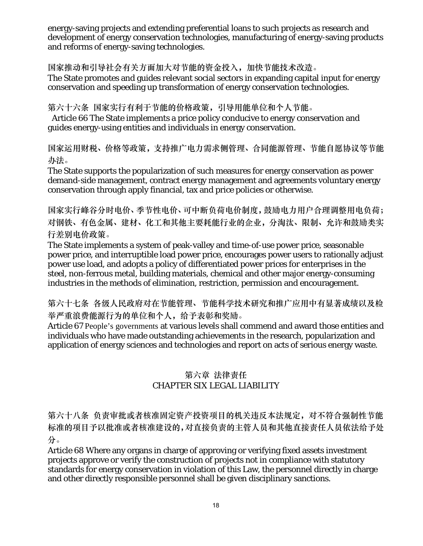energy-saving projects and extending preferential loans to such projects as research and development of energy conservation technologies, manufacturing of energy-saving products and reforms of energy-saving technologies.

国家推动和引导社会有关方面加大对节能的资金投入,加快节能技术改造。 The State promotes and guides relevant social sectors in expanding capital input for energy conservation and speeding up transformation of energy conservation technologies.

第六十六条 国家实行有利于节能的价格政策,引导用能单位和个人节能。

Article 66 The State implements a price policy conducive to energy conservation and guides energy-using entities and individuals in energy conservation.

国家运用财税、价格等政策,支持推广电力需求侧管理、合同能源管理、节能自愿协议等节能 办法。

The State supports the popularization of such measures for energy conservation as power demand-side management, contract energy management and agreements voluntary energy conservation through apply financial, tax and price policies or otherwise.

国家实行峰谷分时电价、季节性电价、可中断负荷电价制度,鼓励电力用户合理调整用电负荷; 对钢铁、有色金属、建材、化工和其他主要耗能行业的企业,分淘汰、限制、允许和鼓励类实 行差别电价政策。

The State implements a system of peak-valley and time-of-use power price, seasonable power price, and interruptible load power price, encourages power users to rationally adjust power use load, and adopts a policy of differentiated power prices for enterprises in the steel, non-ferrous metal, building materials, chemical and other major energy-consuming industries in the methods of elimination, restriction, permission and encouragement.

第六十七条 各级人民政府对在节能管理、节能科学技术研究和推广应用中有显著成绩以及检 举严重浪费能源行为的单位和个人,给予表彰和奖励。

Article 67 People's governments at various levels shall commend and award those entities and individuals who have made outstanding achievements in the research, popularization and application of energy sciences and technologies and report on acts of serious energy waste.

## 第六章 法律责任 CHAPTER SIX LEGAL LIABILITY

第六十八条 负责审批或者核准固定资产投资项目的机关违反本法规定,对不符合强制性节能 标准的项目予以批准或者核准建设的,对直接负责的主管人员和其他直接责任人员依法给予处 分。

Article 68 Where any organs in charge of approving or verifying fixed assets investment projects approve or verify the construction of projects not in compliance with statutory standards for energy conservation in violation of this Law, the personnel directly in charge and other directly responsible personnel shall be given disciplinary sanctions.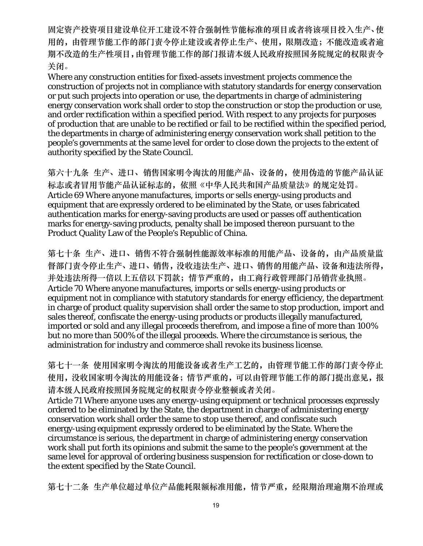固定资产投资项目建设单位开工建设不符合强制性节能标准的项目或者将该项目投入生产、使 用的,由管理节能工作的部门责令停止建设或者停止生产、使用,限期改造;不能改造或者逾 期不改造的生产性项目,由管理节能工作的部门报请本级人民政府按照国务院规定的权限责令 关闭。

Where any construction entities for fixed-assets investment projects commence the construction of projects not in compliance with statutory standards for energy conservation or put such projects into operation or use, the departments in charge of administering energy conservation work shall order to stop the construction or stop the production or use, and order rectification within a specified period. With respect to any projects for purposes of production that are unable to be rectified or fail to be rectified within the specified period, the departments in charge of administering energy conservation work shall petition to the people's governments at the same level for order to close down the projects to the extent of authority specified by the State Council.

第六十九条 生产、进口、销售国家明令淘汰的用能产品、设备的,使用伪造的节能产品认证 标志或者冒用节能产品认证标志的,依照《中华人民共和国产品质量法》的规定处罚。 Article 69 Where anyone manufactures, imports or sells energy-using products and equipment that are expressly ordered to be eliminated by the State, or uses fabricated authentication marks for energy-saving products are used or passes off authentication marks for energy-saving products, penalty shall be imposed thereon pursuant to the Product Quality Law of the People's Republic of China.

第七十条 生产、进口、销售不符合强制性能源效率标准的用能产品、设备的,由产品质量监 督部门责令停止生产、进口、销售,没收违法生产、进口、销售的用能产品、设备和违法所得, 并处违法所得一倍以上五倍以下罚款;情节严重的,由工商行政管理部门吊销营业执照。 Article 70 Where anyone manufactures, imports or sells energy-using products or equipment not in compliance with statutory standards for energy efficiency, the department in charge of product quality supervision shall order the same to stop production, import and sales thereof, confiscate the energy-using products or products illegally manufactured, imported or sold and any illegal proceeds therefrom, and impose a fine of more than 100% but no more than 500% of the illegal proceeds. Where the circumstance is serious, the administration for industry and commerce shall revoke its business license.

第七十一条 使用国家明令淘汰的用能设备或者生产工艺的,由管理节能工作的部门责令停止 使用,没收国家明令淘汰的用能设备;情节严重的,可以由管理节能工作的部门提出意见,报 请本级人民政府按照国务院规定的权限责令停业整顿或者关闭。

Article 71 Where anyone uses any energy-using equipment or technical processes expressly ordered to be eliminated by the State, the department in charge of administering energy conservation work shall order the same to stop use thereof, and confiscate such energy-using equipment expressly ordered to be eliminated by the State. Where the circumstance is serious, the department in charge of administering energy conservation work shall put forth its opinions and submit the same to the people's government at the same level for approval of ordering business suspension for rectification or close-down to the extent specified by the State Council.

第七十二条 生产单位超过单位产品能耗限额标准用能,情节严重,经限期治理逾期不治理或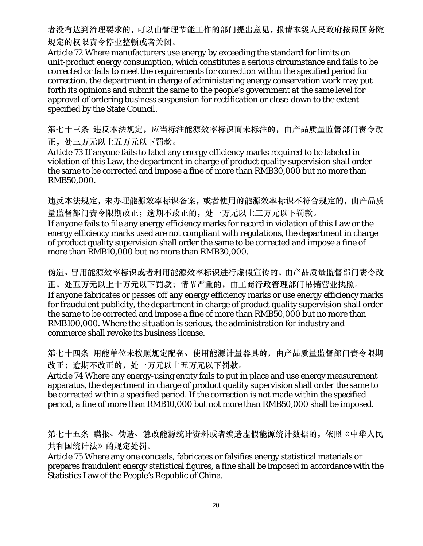者没有达到治理要求的,可以由管理节能工作的部门提出意见,报请本级人民政府按照国务院 规定的权限责令停业整顿或者关闭。

Article 72 Where manufacturers use energy by exceeding the standard for limits on unit-product energy consumption, which constitutes a serious circumstance and fails to be corrected or fails to meet the requirements for correction within the specified period for correction, the department in charge of administering energy conservation work may put forth its opinions and submit the same to the people's government at the same level for approval of ordering business suspension for rectification or close-down to the extent specified by the State Council.

第七十三条 违反本法规定,应当标注能源效率标识而未标注的,由产品质量监督部门责令改 正,处三万元以上五万元以下罚款。

Article 73 If anyone fails to label any energy efficiency marks required to be labeled in violation of this Law, the department in charge of product quality supervision shall order the same to be corrected and impose a fine of more than RMB30,000 but no more than RMB50,000.

违反本法规定,未办理能源效率标识备案,或者使用的能源效率标识不符合规定的,由产品质 量监督部门责令限期改正;逾期不改正的,处一万元以上三万元以下罚款。 If anyone fails to file any energy efficiency marks for record in violation of this Law or the energy efficiency marks used are not compliant with regulations, the department in charge of product quality supervision shall order the same to be corrected and impose a fine of more than RMB10,000 but no more than RMB30,000.

伪造、冒用能源效率标识或者利用能源效率标识进行虚假宣传的,由产品质量监督部门责令改 正,处五万元以上十万元以下罚款;情节严重的,由工商行政管理部门吊销营业执照。 If anyone fabricates or passes off any energy efficiency marks or use energy efficiency marks for fraudulent publicity, the department in charge of product quality supervision shall order the same to be corrected and impose a fine of more than RMB50,000 but no more than RMB100,000. Where the situation is serious, the administration for industry and commerce shall revoke its business license.

第七十四条 用能单位未按照规定配备、使用能源计量器具的,由产品质量监督部门责令限期 改正;逾期不改正的,处一万元以上五万元以下罚款。

Article 74 Where any energy-using entity fails to put in place and use energy measurement apparatus, the department in charge of product quality supervision shall order the same to be corrected within a specified period. If the correction is not made within the specified period, a fine of more than RMB10,000 but not more than RMB50,000 shall be imposed.

第七十五条 瞒报、伪造、篡改能源统计资料或者编造虚假能源统计数据的,依照《中华人民 共和国统计法》的规定处罚。

Article 75 Where any one conceals, fabricates or falsifies energy statistical materials or prepares fraudulent energy statistical figures, a fine shall be imposed in accordance with the Statistics Law of the People's Republic of China.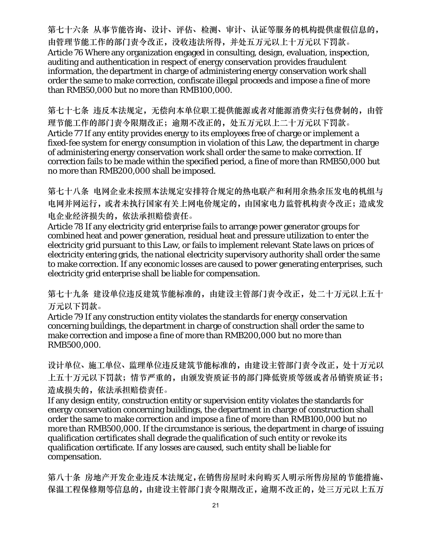第七十六条 从事节能咨询、设计、评估、检测、审计、认证等服务的机构提供虚假信息的, 由管理节能工作的部门责令改正,没收违法所得,并处五万元以上十万元以下罚款。 Article 76 Where any organization engaged in consulting, design, evaluation, inspection, auditing and authentication in respect of energy conservation provides fraudulent information, the department in charge of administering energy conservation work shall order the same to make correction, confiscate illegal proceeds and impose a fine of more than RMB50,000 but no more than RMB100,000.

第七十七条 违反本法规定,无偿向本单位职工提供能源或者对能源消费实行包费制的,由管 理节能工作的部门责令限期改正;逾期不改正的,处五万元以上二十万元以下罚款。 Article 77 If any entity provides energy to its employees free of charge or implement a fixed-fee system for energy consumption in violation of this Law, the department in charge of administering energy conservation work shall order the same to make correction. If correction fails to be made within the specified period, a fine of more than RMB50,000 but no more than RMB200,000 shall be imposed.

第七十八条 电网企业未按照本法规定安排符合规定的热电联产和利用余热余压发电的机组与 电网并网运行,或者未执行国家有关上网电价规定的,由国家电力监管机构责令改正;造成发 电企业经济损失的,依法承担赔偿责任。

Article 78 If any electricity grid enterprise fails to arrange power generator groups for combined heat and power generation, residual heat and pressure utilization to enter the electricity grid pursuant to this Law, or fails to implement relevant State laws on prices of electricity entering grids, the national electricity supervisory authority shall order the same to make correction. If any economic losses are caused to power generating enterprises, such electricity grid enterprise shall be liable for compensation.

第七十九条 建设单位违反建筑节能标准的,由建设主管部门责令改正,处二十万元以上五十 万元以下罚款。

Article 79 If any construction entity violates the standards for energy conservation concerning buildings, the department in charge of construction shall order the same to make correction and impose a fine of more than RMB200,000 but no more than RMB500,000.

设计单位、施工单位、监理单位违反建筑节能标准的,由建设主管部门责令改正,处十万元以 上五十万元以下罚款;情节严重的,由颁发资质证书的部门降低资质等级或者吊销资质证书; 造成损失的,依法承担赔偿责任。

If any design entity, construction entity or supervision entity violates the standards for energy conservation concerning buildings, the department in charge of construction shall order the same to make correction and impose a fine of more than RMB100,000 but no more than RMB500,000. If the circumstance is serious, the department in charge of issuing qualification certificates shall degrade the qualification of such entity or revoke its qualification certificate. If any losses are caused, such entity shall be liable for compensation.

第八十条 房地产开发企业违反本法规定,在销售房屋时未向购买人明示所售房屋的节能措施、 保温工程保修期等信息的,由建设主管部门责令限期改正,逾期不改正的,处三万元以上五万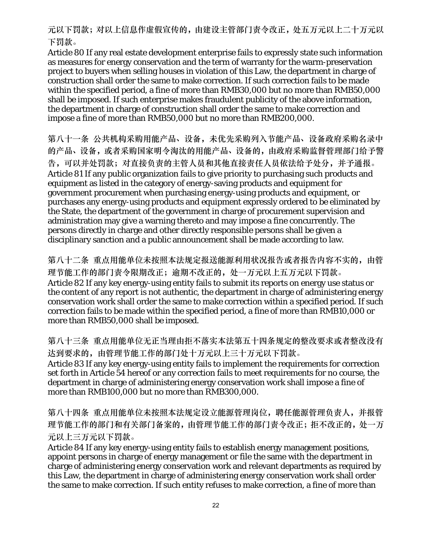元以下罚款;对以上信息作虚假宣传的,由建设主管部门责令改正,处五万元以上二十万元以 下罚款。

Article 80 If any real estate development enterprise fails to expressly state such information as measures for energy conservation and the term of warranty for the warm-preservation project to buyers when selling houses in violation of this Law, the department in charge of construction shall order the same to make correction. If such correction fails to be made within the specified period, a fine of more than RMB30,000 but no more than RMB50,000 shall be imposed. If such enterprise makes fraudulent publicity of the above information, the department in charge of construction shall order the same to make correction and impose a fine of more than RMB50,000 but no more than RMB200,000.

第八十一条 公共机构采购用能产品、设备,未优先采购列入节能产品、设备政府采购名录中 的产品、设备,或者采购国家明令淘汰的用能产品、设备的,由政府采购监督管理部门给予警 告,可以并处罚款;对直接负责的主管人员和其他直接责任人员依法给予处分,并予通报。 Article 81 If any public organization fails to give priority to purchasing such products and equipment as listed in the category of energy-saving products and equipment for government procurement when purchasing energy-using products and equipment, or purchases any energy-using products and equipment expressly ordered to be eliminated by the State, the department of the government in charge of procurement supervision and administration may give a warning thereto and may impose a fine concurrently. The persons directly in charge and other directly responsible persons shall be given a disciplinary sanction and a public announcement shall be made according to law.

第八十二条 重点用能单位未按照本法规定报送能源利用状况报告或者报告内容不实的,由管 理节能工作的部门责令限期改正;逾期不改正的,处一万元以上五万元以下罚款。 Article 82 If any key energy-using entity fails to submit its reports on energy use status or the content of any report is not authentic, the department in charge of administering energy conservation work shall order the same to make correction within a specified period. If such correction fails to be made within the specified period, a fine of more than RMB10,000 or more than RMB50,000 shall be imposed.

第八十三条 重点用能单位无正当理由拒不落实本法第五十四条规定的整改要求或者整改没有 达到要求的,由管理节能工作的部门处十万元以上三十万元以下罚款。 Article 83 If any key energy-using entity fails to implement the requirements for correction set forth in Article 54 hereof or any correction fails to meet requirements for no course, the department in charge of administering energy conservation work shall impose a fine of more than RMB100,000 but no more than RMB300,000.

第八十四条 重点用能单位未按照本法规定设立能源管理岗位,聘任能源管理负责人,并报管 理节能工作的部门和有关部门备案的,由管理节能工作的部门责令改正;拒不改正的,处一万 元以上三万元以下罚款。

Article 84 If any key energy-using entity fails to establish energy management positions, appoint persons in charge of energy management or file the same with the department in charge of administering energy conservation work and relevant departments as required by this Law, the department in charge of administering energy conservation work shall order the same to make correction. If such entity refuses to make correction, a fine of more than